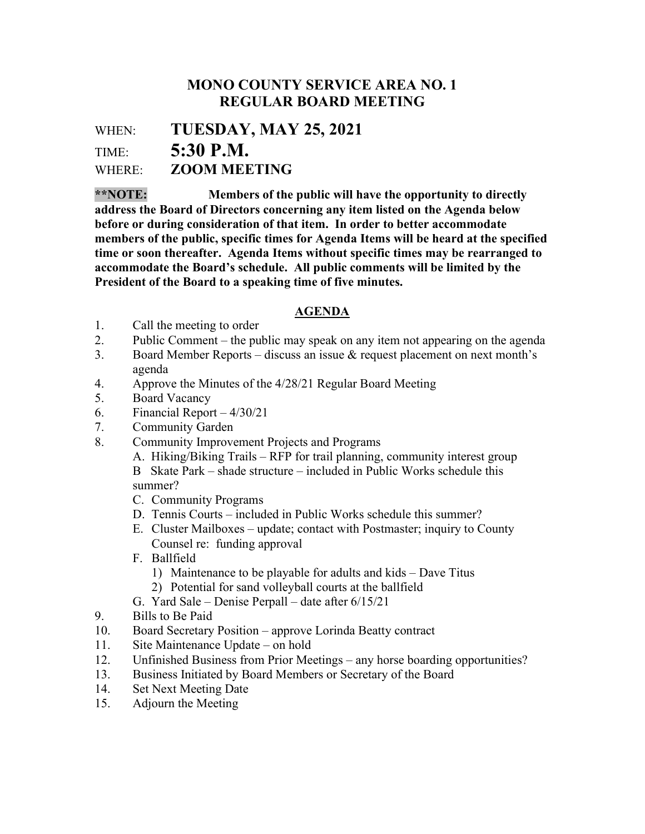## MONO COUNTY SERVICE AREA NO. 1 REGULAR BOARD MEETING

WHEN: TUESDAY, MAY 25, 2021 TIME: 5:30 P.M.

WHERE: **ZOOM MEETING** 

\*\*NOTE: Members of the public will have the opportunity to directly address the Board of Directors concerning any item listed on the Agenda below before or during consideration of that item. In order to better accommodate members of the public, specific times for Agenda Items will be heard at the specified time or soon thereafter. Agenda Items without specific times may be rearranged to accommodate the Board's schedule. All public comments will be limited by the President of the Board to a speaking time of five minutes.

## AGENDA

- 1. Call the meeting to order
- 2. Public Comment the public may speak on any item not appearing on the agenda
- 3. Board Member Reports discuss an issue & request placement on next month's agenda
- 4. Approve the Minutes of the 4/28/21 Regular Board Meeting
- 5. Board Vacancy
- 6. Financial Report 4/30/21
- 7. Community Garden
- 8. Community Improvement Projects and Programs

A. Hiking/Biking Trails – RFP for trail planning, community interest group

B Skate Park – shade structure – included in Public Works schedule this summer?

- C. Community Programs
- D. Tennis Courts included in Public Works schedule this summer?
- E. Cluster Mailboxes update; contact with Postmaster; inquiry to County Counsel re: funding approval
- F. Ballfield
	- 1) Maintenance to be playable for adults and kids Dave Titus
- 2) Potential for sand volleyball courts at the ballfield
- G. Yard Sale Denise Perpall date after 6/15/21
- 9. Bills to Be Paid
- 10. Board Secretary Position approve Lorinda Beatty contract
- 11. Site Maintenance Update on hold
- 12. Unfinished Business from Prior Meetings any horse boarding opportunities?
- 13. Business Initiated by Board Members or Secretary of the Board
- 14. Set Next Meeting Date
- 15. Adjourn the Meeting